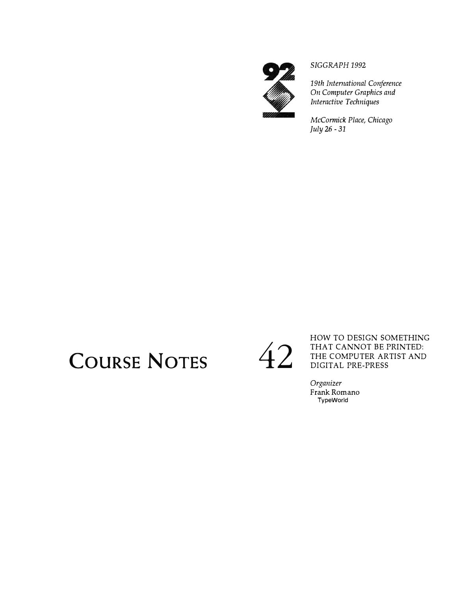

*SIGGRAPH 1992* 

*19th International Conference On Computer Graphics and Interactive Techniques* 

*McCormick Place, Chicago July* 26 - *31* 

## COURSE NOTES 42

HOW TO DESIGN SOMETHING THAT CANNOT BE PRINTED: THE COMPUTER ARTIST AND DIGITAL PRE-PRESS

*Organizer*  Frank Romano **TypeWorld**